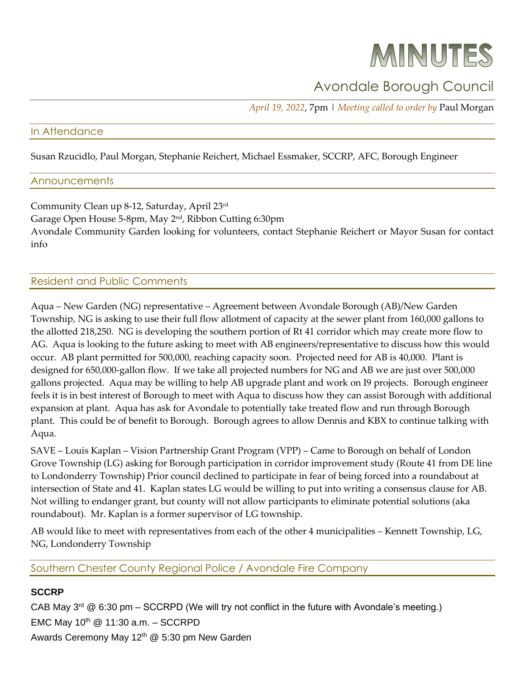# MINUTES

# Avondale Borough Council

*April 19, 2022*, 7pm | *Meeting called to order by* Paul Morgan

#### In Attendance

Susan Rzucidlo, Paul Morgan, Stephanie Reichert, Michael Essmaker, SCCRP, AFC, Borough Engineer

#### **Announcements**

Community Clean up 8-12, Saturday, April 23rd Garage Open House 5-8pm, May 2nd, Ribbon Cutting 6:30pm Avondale Community Garden looking for volunteers, contact Stephanie Reichert or Mayor Susan for contact info

# Resident and Public Comments

Aqua – New Garden (NG) representative – Agreement between Avondale Borough (AB)/New Garden Township, NG is asking to use their full flow allotment of capacity at the sewer plant from 160,000 gallons to the allotted 218,250. NG is developing the southern portion of Rt 41 corridor which may create more flow to AG. Aqua is looking to the future asking to meet with AB engineers/representative to discuss how this would occur. AB plant permitted for 500,000, reaching capacity soon. Projected need for AB is 40,000. Plant is designed for 650,000-gallon flow. If we take all projected numbers for NG and AB we are just over 500,000 gallons projected. Aqua may be willing to help AB upgrade plant and work on I9 projects. Borough engineer feels it is in best interest of Borough to meet with Aqua to discuss how they can assist Borough with additional expansion at plant. Aqua has ask for Avondale to potentially take treated flow and run through Borough plant. This could be of benefit to Borough. Borough agrees to allow Dennis and KBX to continue talking with Aqua.

SAVE – Louis Kaplan – Vision Partnership Grant Program (VPP) – Came to Borough on behalf of London Grove Township (LG) asking for Borough participation in corridor improvement study (Route 41 from DE line to Londonderry Township) Prior council declined to participate in fear of being forced into a roundabout at intersection of State and 41. Kaplan states LG would be willing to put into writing a consensus clause for AB. Not willing to endanger grant, but county will not allow participants to eliminate potential solutions (aka roundabout). Mr. Kaplan is a former supervisor of LG township.

AB would like to meet with representatives from each of the other 4 municipalities – Kennett Township, LG, NG, Londonderry Township

# Southern Chester County Regional Police / Avondale Fire Company

# **SCCRP**

CAB May  $3^{rd}$  @ 6:30 pm – SCCRPD (We will try not conflict in the future with Avondale's meeting.) EMC May  $10^{th}$  @ 11:30 a.m. - SCCRPD Awards Ceremony May 12<sup>th</sup> @ 5:30 pm New Garden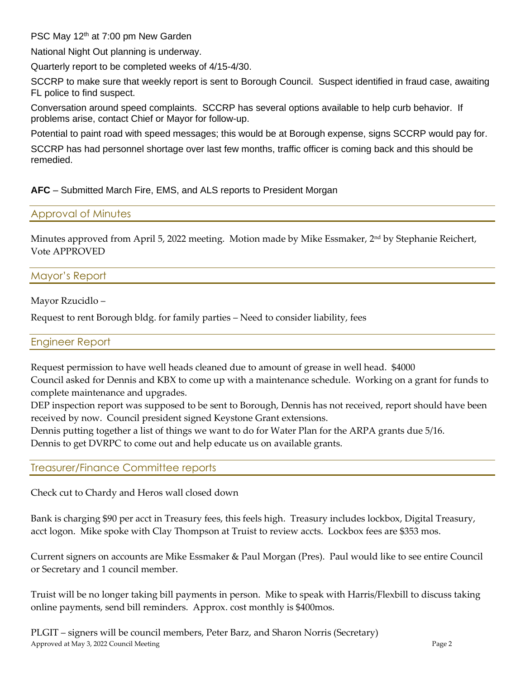PSC May 12<sup>th</sup> at 7:00 pm New Garden

National Night Out planning is underway.

Quarterly report to be completed weeks of 4/15-4/30.

SCCRP to make sure that weekly report is sent to Borough Council. Suspect identified in fraud case, awaiting FL police to find suspect.

Conversation around speed complaints. SCCRP has several options available to help curb behavior. If problems arise, contact Chief or Mayor for follow-up.

Potential to paint road with speed messages; this would be at Borough expense, signs SCCRP would pay for.

SCCRP has had personnel shortage over last few months, traffic officer is coming back and this should be remedied.

# **AFC** – Submitted March Fire, EMS, and ALS reports to President Morgan

#### Approval of Minutes

Minutes approved from April 5, 2022 meeting. Motion made by Mike Essmaker, 2<sup>nd</sup> by Stephanie Reichert, Vote APPROVED

# Mayor's Report

Mayor Rzucidlo –

Request to rent Borough bldg. for family parties – Need to consider liability, fees

#### Engineer Report

Request permission to have well heads cleaned due to amount of grease in well head. \$4000

Council asked for Dennis and KBX to come up with a maintenance schedule. Working on a grant for funds to complete maintenance and upgrades.

DEP inspection report was supposed to be sent to Borough, Dennis has not received, report should have been received by now. Council president signed Keystone Grant extensions.

Dennis putting together a list of things we want to do for Water Plan for the ARPA grants due 5/16.

Dennis to get DVRPC to come out and help educate us on available grants.

#### Treasurer/Finance Committee reports

Check cut to Chardy and Heros wall closed down

Bank is charging \$90 per acct in Treasury fees, this feels high. Treasury includes lockbox, Digital Treasury, acct logon. Mike spoke with Clay Thompson at Truist to review accts. Lockbox fees are \$353 mos.

Current signers on accounts are Mike Essmaker & Paul Morgan (Pres). Paul would like to see entire Council or Secretary and 1 council member.

Truist will be no longer taking bill payments in person. Mike to speak with Harris/Flexbill to discuss taking online payments, send bill reminders. Approx. cost monthly is \$400mos.